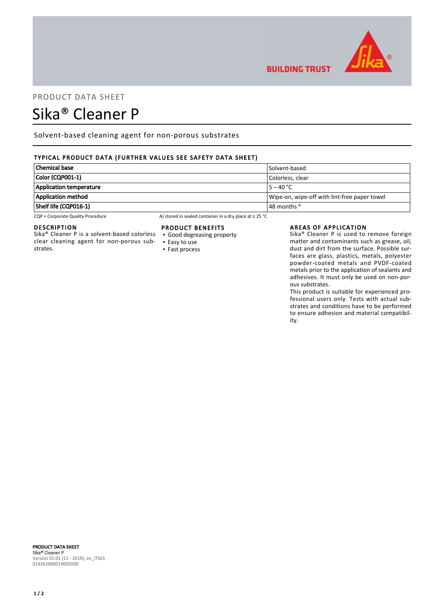

## PRODUCT DATA SHEET

# Sika® Cleaner P

Solvent-based cleaning agent for non-porous substrates

### TYPICAL PRODUCT DATA (FURTHER VALUES SEE SAFETY DATA SHEET)

| <b>Chemical base</b>           | Solvent-based                                |
|--------------------------------|----------------------------------------------|
| Color (CQP001-1)               | Colorless. clear                             |
| <b>Application temperature</b> | $15 - 40 °C$                                 |
| <b>Application method</b>      | Wipe-on, wipe-off with lint-free paper towel |
| Shelf life (CQP016-1)          | $\vert$ 48 months $^{\mathsf{A}}$            |

CQP = Corporate Quality Procedure A) stored in sealed container in a dry place at ≤ 25 °C

#### DESCRIPTION

Sika® Cleaner P is a solvent-based colorless clear cleaning agent for non-porous substrates.

#### PRODUCT BENEFITS

- Good degreasing property
- Easy to use ▪ Fast process

#### AREAS OF APPLICATION

**BUILDING TRUST** 

Sika® Cleaner P is used to remove foreign matter and contaminants such as grease, oil, dust and dirt from the surface. Possible surfaces are glass, plastics, metals, polyester powder-coated metals and PVDF-coated metals prior to the application of sealants and adhesives. It must only be used on non-porous substrates.

This product is suitable for experienced professional users only. Tests with actual substrates and conditions have to be performed to ensure adhesion and material compatibility.

#### PRODUCT DATA SHEET Sika® Cleaner P Version 01.01 (11 - 2019), en\_ITSES 014362000019002000